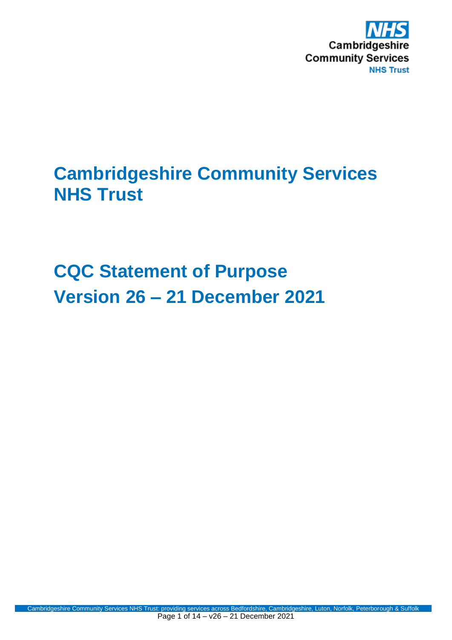

## **Cambridgeshire Community Services NHS Trust**

# **CQC Statement of Purpose Version 26 – 21 December 2021**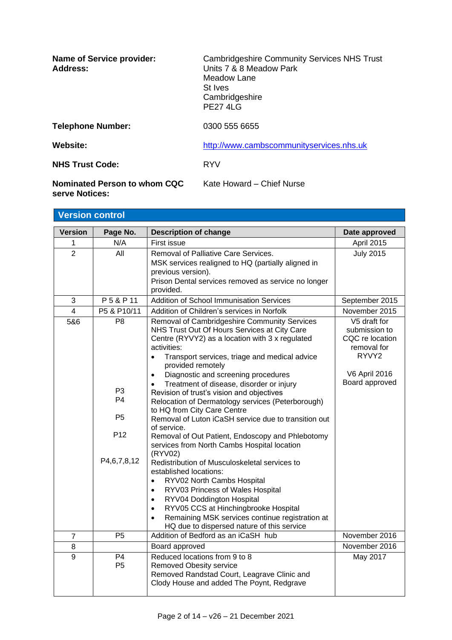| <b>Name of Service provider:</b><br>Address:   | <b>Cambridgeshire Community Services NHS Trust</b><br>Units 7 & 8 Meadow Park<br>Meadow Lane<br>St Ives<br>Cambridgeshire<br><b>PF2741G</b> |
|------------------------------------------------|---------------------------------------------------------------------------------------------------------------------------------------------|
| <b>Telephone Number:</b>                       | 0300 555 6655                                                                                                                               |
| Website:                                       | http://www.cambscommunityservices.nhs.uk                                                                                                    |
| <b>NHS Trust Code:</b>                         | <b>RYV</b>                                                                                                                                  |
| Nominated Person to whom CQC<br>serve Notices: | Kate Howard - Chief Nurse                                                                                                                   |

| <b>Version control</b>  |                                                                                 |                                                                                                                                                                                                                                                                                                                                                                                                                                                                                                                                                                                                                                                                                                                                                                                                                                                                                                                                                                                                                                                                          |                                                                                                                                                                |
|-------------------------|---------------------------------------------------------------------------------|--------------------------------------------------------------------------------------------------------------------------------------------------------------------------------------------------------------------------------------------------------------------------------------------------------------------------------------------------------------------------------------------------------------------------------------------------------------------------------------------------------------------------------------------------------------------------------------------------------------------------------------------------------------------------------------------------------------------------------------------------------------------------------------------------------------------------------------------------------------------------------------------------------------------------------------------------------------------------------------------------------------------------------------------------------------------------|----------------------------------------------------------------------------------------------------------------------------------------------------------------|
| Version                 | Page No.                                                                        | <b>Description of change</b>                                                                                                                                                                                                                                                                                                                                                                                                                                                                                                                                                                                                                                                                                                                                                                                                                                                                                                                                                                                                                                             | Date approved                                                                                                                                                  |
| 1                       | N/A                                                                             | First issue                                                                                                                                                                                                                                                                                                                                                                                                                                                                                                                                                                                                                                                                                                                                                                                                                                                                                                                                                                                                                                                              | April 2015                                                                                                                                                     |
| $\overline{2}$          | All                                                                             | Removal of Palliative Care Services.<br>MSK services realigned to HQ (partially aligned in<br>previous version).<br>Prison Dental services removed as service no longer<br>provided.                                                                                                                                                                                                                                                                                                                                                                                                                                                                                                                                                                                                                                                                                                                                                                                                                                                                                     | <b>July 2015</b>                                                                                                                                               |
| 3                       | P5&P11                                                                          | Addition of School Immunisation Services                                                                                                                                                                                                                                                                                                                                                                                                                                                                                                                                                                                                                                                                                                                                                                                                                                                                                                                                                                                                                                 | September 2015                                                                                                                                                 |
| $\overline{\mathbf{4}}$ | P5 & P10/11                                                                     | Addition of Children's services in Norfolk                                                                                                                                                                                                                                                                                                                                                                                                                                                                                                                                                                                                                                                                                                                                                                                                                                                                                                                                                                                                                               | November 2015                                                                                                                                                  |
| 5&6                     | P <sub>8</sub><br>P3.<br>P4<br>P <sub>5</sub><br>P <sub>12</sub><br>P4,6,7,8,12 | Removal of Cambridgeshire Community Services<br>NHS Trust Out Of Hours Services at City Care<br>Centre (RYVY2) as a location with 3 x regulated<br>activities:<br>Transport services, triage and medical advice<br>$\bullet$<br>provided remotely<br>Diagnostic and screening procedures<br>$\bullet$<br>Treatment of disease, disorder or injury<br>$\bullet$<br>Revision of trust's vision and objectives<br>Relocation of Dermatology services (Peterborough)<br>to HQ from City Care Centre<br>Removal of Luton iCaSH service due to transition out<br>of service.<br>Removal of Out Patient, Endoscopy and Phlebotomy<br>services from North Cambs Hospital location<br>(RYV02)<br>Redistribution of Musculoskeletal services to<br>established locations:<br>RYV02 North Cambs Hospital<br>$\bullet$<br>RYV03 Princess of Wales Hospital<br>$\bullet$<br>RYV04 Doddington Hospital<br>$\bullet$<br>RYV05 CCS at Hinchingbrooke Hospital<br>$\bullet$<br>Remaining MSK services continue registration at<br>$\bullet$<br>HQ due to dispersed nature of this service | $\overline{\text{V}}$ <sub>5</sub> draft for<br>submission to<br>CQC re location<br>removal for<br>RYVY <sub>2</sub><br><b>V6 April 2016</b><br>Board approved |
| $\overline{7}$          | P <sub>5</sub>                                                                  | Addition of Bedford as an iCaSH hub                                                                                                                                                                                                                                                                                                                                                                                                                                                                                                                                                                                                                                                                                                                                                                                                                                                                                                                                                                                                                                      | November 2016                                                                                                                                                  |
| 8                       |                                                                                 | Board approved                                                                                                                                                                                                                                                                                                                                                                                                                                                                                                                                                                                                                                                                                                                                                                                                                                                                                                                                                                                                                                                           | November 2016                                                                                                                                                  |
| $\overline{9}$          | P <sub>4</sub><br>P <sub>5</sub>                                                | Reduced locations from 9 to 8<br><b>Removed Obesity service</b><br>Removed Randstad Court, Leagrave Clinic and<br>Clody House and added The Poynt, Redgrave                                                                                                                                                                                                                                                                                                                                                                                                                                                                                                                                                                                                                                                                                                                                                                                                                                                                                                              | May 2017                                                                                                                                                       |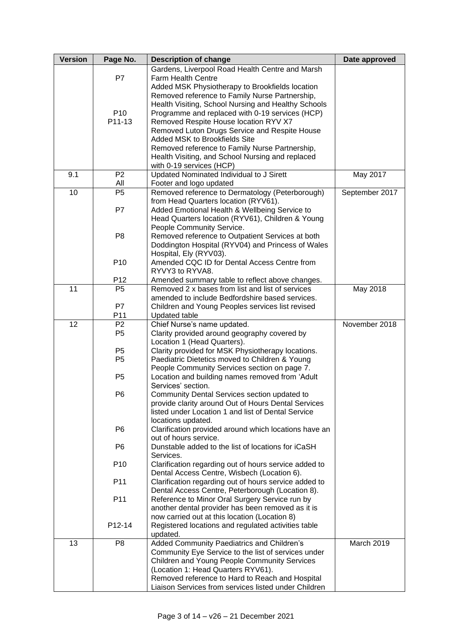| <b>Version</b> | Page No.        | <b>Description of change</b>                                                   | Date approved  |
|----------------|-----------------|--------------------------------------------------------------------------------|----------------|
|                |                 | Gardens, Liverpool Road Health Centre and Marsh                                |                |
|                | P7              | <b>Farm Health Centre</b>                                                      |                |
|                |                 | Added MSK Physiotherapy to Brookfields location                                |                |
|                |                 | Removed reference to Family Nurse Partnership,                                 |                |
|                |                 | Health Visiting, School Nursing and Healthy Schools                            |                |
|                | P <sub>10</sub> | Programme and replaced with 0-19 services (HCP)                                |                |
|                | P11-13          | Removed Respite House location RYV X7                                          |                |
|                |                 | Removed Luton Drugs Service and Respite House                                  |                |
|                |                 | Added MSK to Brookfields Site                                                  |                |
|                |                 | Removed reference to Family Nurse Partnership,                                 |                |
|                |                 | Health Visiting, and School Nursing and replaced                               |                |
|                |                 | with 0-19 services (HCP)                                                       |                |
| 9.1            | P <sub>2</sub>  | Updated Nominated Individual to J Sirett                                       | May 2017       |
|                | All             | Footer and logo updated                                                        |                |
| 10             | P <sub>5</sub>  | Removed reference to Dermatology (Peterborough)                                | September 2017 |
|                |                 | from Head Quarters location (RYV61).                                           |                |
|                | P7              | Added Emotional Health & Wellbeing Service to                                  |                |
|                |                 | Head Quarters location (RYV61), Children & Young                               |                |
|                |                 | People Community Service.                                                      |                |
|                | P <sub>8</sub>  | Removed reference to Outpatient Services at both                               |                |
|                |                 | Doddington Hospital (RYV04) and Princess of Wales                              |                |
|                | P <sub>10</sub> | Hospital, Ely (RYV03).<br>Amended CQC ID for Dental Access Centre from         |                |
|                |                 | RYVY3 to RYVA8.                                                                |                |
|                | P <sub>12</sub> | Amended summary table to reflect above changes.                                |                |
| 11             | P <sub>5</sub>  | Removed 2 x bases from list and list of services                               | May 2018       |
|                |                 | amended to include Bedfordshire based services.                                |                |
|                | P7              | Children and Young Peoples services list revised                               |                |
|                | P11             | <b>Updated table</b>                                                           |                |
| 12             | P <sub>2</sub>  | Chief Nurse's name updated.                                                    | November 2018  |
|                | P <sub>5</sub>  | Clarity provided around geography covered by                                   |                |
|                |                 | Location 1 (Head Quarters).                                                    |                |
|                | P <sub>5</sub>  | Clarity provided for MSK Physiotherapy locations.                              |                |
|                | P <sub>5</sub>  | Paediatric Dietetics moved to Children & Young                                 |                |
|                |                 | People Community Services section on page 7.                                   |                |
|                | P <sub>5</sub>  | Location and building names removed from 'Adult                                |                |
|                |                 | Services' section.                                                             |                |
|                | P <sub>6</sub>  | Community Dental Services section updated to                                   |                |
|                |                 | provide clarity around Out of Hours Dental Services                            |                |
|                |                 | listed under Location 1 and list of Dental Service                             |                |
|                |                 | locations updated.                                                             |                |
|                | P <sub>6</sub>  | Clarification provided around which locations have an<br>out of hours service. |                |
|                | P <sub>6</sub>  | Dunstable added to the list of locations for iCaSH                             |                |
|                |                 | Services.                                                                      |                |
|                | P <sub>10</sub> | Clarification regarding out of hours service added to                          |                |
|                |                 | Dental Access Centre, Wisbech (Location 6).                                    |                |
|                | P11             | Clarification regarding out of hours service added to                          |                |
|                |                 | Dental Access Centre, Peterborough (Location 8).                               |                |
|                | P11             | Reference to Minor Oral Surgery Service run by                                 |                |
|                |                 | another dental provider has been removed as it is                              |                |
|                |                 | now carried out at this location (Location 8)                                  |                |
|                | P12-14          | Registered locations and regulated activities table                            |                |
|                |                 | updated.                                                                       |                |
| 13             | P <sub>8</sub>  | Added Community Paediatrics and Children's                                     | March 2019     |
|                |                 | Community Eye Service to the list of services under                            |                |
|                |                 | Children and Young People Community Services                                   |                |
|                |                 | (Location 1: Head Quarters RYV61).                                             |                |
|                |                 | Removed reference to Hard to Reach and Hospital                                |                |
|                |                 | Liaison Services from services listed under Children                           |                |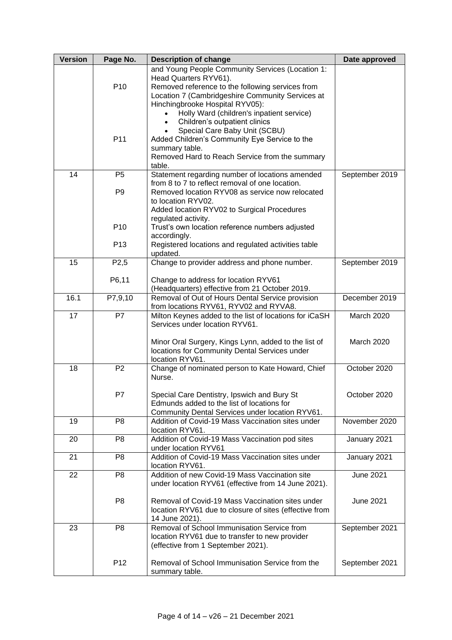| <b>Version</b> | Page No.          | <b>Description of change</b>                                                                       | Date approved    |
|----------------|-------------------|----------------------------------------------------------------------------------------------------|------------------|
|                |                   | and Young People Community Services (Location 1:                                                   |                  |
|                | P <sub>10</sub>   | Head Quarters RYV61).<br>Removed reference to the following services from                          |                  |
|                |                   | Location 7 (Cambridgeshire Community Services at                                                   |                  |
|                |                   | Hinchingbrooke Hospital RYV05):                                                                    |                  |
|                |                   | Holly Ward (children's inpatient service)                                                          |                  |
|                |                   | Children's outpatient clinics                                                                      |                  |
|                |                   | Special Care Baby Unit (SCBU)                                                                      |                  |
|                | P11               | Added Children's Community Eye Service to the<br>summary table.                                    |                  |
|                |                   | Removed Hard to Reach Service from the summary                                                     |                  |
|                |                   | table.                                                                                             |                  |
| 14             | P <sub>5</sub>    | Statement regarding number of locations amended                                                    | September 2019   |
|                |                   | from 8 to 7 to reflect removal of one location.                                                    |                  |
|                | P <sub>9</sub>    | Removed location RYV08 as service now relocated<br>to location RYV02.                              |                  |
|                |                   | Added location RYV02 to Surgical Procedures                                                        |                  |
|                |                   | regulated activity.                                                                                |                  |
|                | P <sub>10</sub>   | Trust's own location reference numbers adjusted                                                    |                  |
|                |                   | accordingly.                                                                                       |                  |
|                | P <sub>13</sub>   | Registered locations and regulated activities table<br>updated.                                    |                  |
| 15             | P <sub>2</sub> ,5 | Change to provider address and phone number.                                                       | September 2019   |
|                |                   |                                                                                                    |                  |
|                | P6,11             | Change to address for location RYV61                                                               |                  |
| 16.1           | P7,9,10           | (Headquarters) effective from 21 October 2019.<br>Removal of Out of Hours Dental Service provision | December 2019    |
|                |                   | from locations RYV61, RYV02 and RYVA8.                                                             |                  |
| 17             | P7                | Milton Keynes added to the list of locations for iCaSH                                             | March 2020       |
|                |                   | Services under location RYV61.                                                                     |                  |
|                |                   | Minor Oral Surgery, Kings Lynn, added to the list of                                               | March 2020       |
|                |                   | locations for Community Dental Services under                                                      |                  |
|                |                   | location RYV61.                                                                                    |                  |
| 18             | P <sub>2</sub>    | Change of nominated person to Kate Howard, Chief                                                   | October 2020     |
|                |                   | Nurse.                                                                                             |                  |
|                | P7                | Special Care Dentistry, Ipswich and Bury St                                                        | October 2020     |
|                |                   | Edmunds added to the list of locations for                                                         |                  |
|                |                   | Community Dental Services under location RYV61.                                                    |                  |
| 19             | P <sub>8</sub>    | Addition of Covid-19 Mass Vaccination sites under                                                  | November 2020    |
|                |                   | location RYV61.                                                                                    |                  |
| 20             | P <sub>8</sub>    | Addition of Covid-19 Mass Vaccination pod sites<br>under location RYV61                            | January 2021     |
| 21             | P <sub>8</sub>    | Addition of Covid-19 Mass Vaccination sites under                                                  | January 2021     |
|                |                   | location RYV61.                                                                                    |                  |
| 22             | P <sub>8</sub>    | Addition of new Covid-19 Mass Vaccination site                                                     | <b>June 2021</b> |
|                |                   | under location RYV61 (effective from 14 June 2021).                                                |                  |
|                | P <sub>8</sub>    | Removal of Covid-19 Mass Vaccination sites under                                                   | June 2021        |
|                |                   | location RYV61 due to closure of sites (effective from                                             |                  |
|                |                   | 14 June 2021).                                                                                     |                  |
| 23             | P <sub>8</sub>    | Removal of School Immunisation Service from                                                        | September 2021   |
|                |                   | location RYV61 due to transfer to new provider<br>(effective from 1 September 2021).               |                  |
|                |                   |                                                                                                    |                  |
|                | P <sub>12</sub>   | Removal of School Immunisation Service from the                                                    | September 2021   |
|                |                   | summary table.                                                                                     |                  |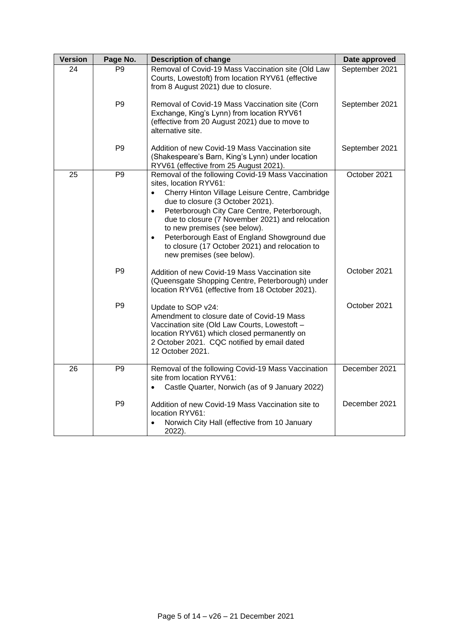| <b>Version</b> | Page No.       | <b>Description of change</b>                                                                                                                                                                                                                                                                                                                                                                                                                                                | Date approved  |
|----------------|----------------|-----------------------------------------------------------------------------------------------------------------------------------------------------------------------------------------------------------------------------------------------------------------------------------------------------------------------------------------------------------------------------------------------------------------------------------------------------------------------------|----------------|
| 24             | P <sub>9</sub> | Removal of Covid-19 Mass Vaccination site (Old Law<br>Courts, Lowestoft) from location RYV61 (effective<br>from 8 August 2021) due to closure.                                                                                                                                                                                                                                                                                                                              | September 2021 |
|                | P <sub>9</sub> | Removal of Covid-19 Mass Vaccination site (Corn<br>Exchange, King's Lynn) from location RYV61<br>(effective from 20 August 2021) due to move to<br>alternative site.                                                                                                                                                                                                                                                                                                        | September 2021 |
|                | P <sub>9</sub> | Addition of new Covid-19 Mass Vaccination site<br>(Shakespeare's Barn, King's Lynn) under location<br>RYV61 (effective from 25 August 2021).                                                                                                                                                                                                                                                                                                                                | September 2021 |
| 25             | P <sub>9</sub> | Removal of the following Covid-19 Mass Vaccination<br>sites, location RYV61:<br>Cherry Hinton Village Leisure Centre, Cambridge<br>$\bullet$<br>due to closure (3 October 2021).<br>Peterborough City Care Centre, Peterborough,<br>$\bullet$<br>due to closure (7 November 2021) and relocation<br>to new premises (see below).<br>Peterborough East of England Showground due<br>$\bullet$<br>to closure (17 October 2021) and relocation to<br>new premises (see below). | October 2021   |
|                | P <sub>9</sub> | Addition of new Covid-19 Mass Vaccination site<br>(Queensgate Shopping Centre, Peterborough) under<br>location RYV61 (effective from 18 October 2021).                                                                                                                                                                                                                                                                                                                      | October 2021   |
|                | P <sub>9</sub> | Update to SOP v24:<br>Amendment to closure date of Covid-19 Mass<br>Vaccination site (Old Law Courts, Lowestoft -<br>location RYV61) which closed permanently on<br>2 October 2021. CQC notified by email dated<br>12 October 2021.                                                                                                                                                                                                                                         | October 2021   |
| 26             | P <sub>9</sub> | Removal of the following Covid-19 Mass Vaccination<br>site from location RYV61:<br>Castle Quarter, Norwich (as of 9 January 2022)<br>$\bullet$                                                                                                                                                                                                                                                                                                                              | December 2021  |
|                | P <sub>9</sub> | Addition of new Covid-19 Mass Vaccination site to<br>location RYV61:<br>Norwich City Hall (effective from 10 January<br>2022).                                                                                                                                                                                                                                                                                                                                              | December 2021  |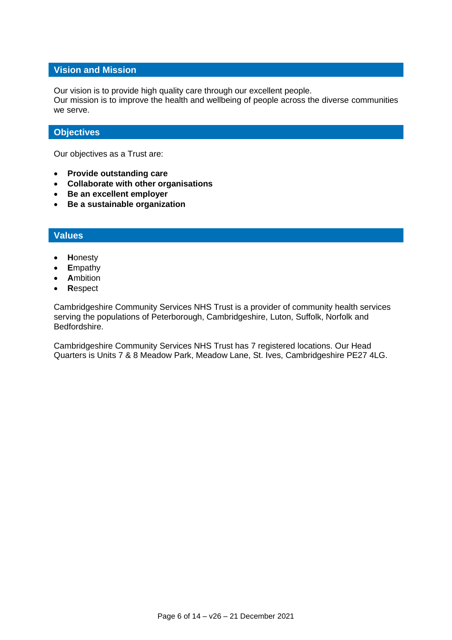#### **Vision and Mission**

Our vision is to provide high quality care through our excellent people.

Our mission is to improve the health and wellbeing of people across the diverse communities we serve.

#### **Objectives**

Our objectives as a Trust are:

- **Provide outstanding care**
- **Collaborate with other organisations**
- **Be an excellent employer**
- **Be a sustainable organization**

#### **Values**

- **H**onesty
- **E**mpathy
- **A**mbition
- **R**espect

Cambridgeshire Community Services NHS Trust is a provider of community health services serving the populations of Peterborough, Cambridgeshire, Luton, Suffolk, Norfolk and Bedfordshire.

Cambridgeshire Community Services NHS Trust has 7 registered locations. Our Head Quarters is Units 7 & 8 Meadow Park, Meadow Lane, St. Ives, Cambridgeshire PE27 4LG.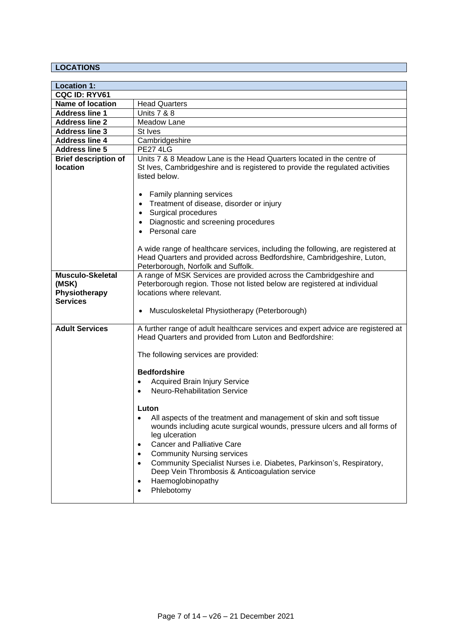### **LOCATIONS**

| <b>Location 1:</b>                                                   |                                                                                                                                                                                                                                                    |
|----------------------------------------------------------------------|----------------------------------------------------------------------------------------------------------------------------------------------------------------------------------------------------------------------------------------------------|
| CQC ID: RYV61                                                        |                                                                                                                                                                                                                                                    |
| <b>Name of location</b>                                              | <b>Head Quarters</b>                                                                                                                                                                                                                               |
| <b>Address line 1</b>                                                | <b>Units 7 &amp; 8</b>                                                                                                                                                                                                                             |
| <b>Address line 2</b>                                                | Meadow Lane                                                                                                                                                                                                                                        |
| <b>Address line 3</b>                                                | St Ives                                                                                                                                                                                                                                            |
| <b>Address line 4</b>                                                | Cambridgeshire                                                                                                                                                                                                                                     |
| <b>Address line 5</b>                                                | <b>PE27 4LG</b>                                                                                                                                                                                                                                    |
| <b>Brief description of</b>                                          | Units 7 & 8 Meadow Lane is the Head Quarters located in the centre of                                                                                                                                                                              |
| location                                                             | St Ives, Cambridgeshire and is registered to provide the regulated activities<br>listed below.                                                                                                                                                     |
|                                                                      | Family planning services                                                                                                                                                                                                                           |
|                                                                      | Treatment of disease, disorder or injury                                                                                                                                                                                                           |
|                                                                      | Surgical procedures                                                                                                                                                                                                                                |
|                                                                      | Diagnostic and screening procedures                                                                                                                                                                                                                |
|                                                                      | Personal care                                                                                                                                                                                                                                      |
|                                                                      |                                                                                                                                                                                                                                                    |
|                                                                      | A wide range of healthcare services, including the following, are registered at<br>Head Quarters and provided across Bedfordshire, Cambridgeshire, Luton,<br>Peterborough, Norfolk and Suffolk.                                                    |
| <b>Musculo-Skeletal</b><br>(MSK)<br>Physiotherapy<br><b>Services</b> | A range of MSK Services are provided across the Cambridgeshire and<br>Peterborough region. Those not listed below are registered at individual<br>locations where relevant.                                                                        |
|                                                                      | Musculoskeletal Physiotherapy (Peterborough)                                                                                                                                                                                                       |
| <b>Adult Services</b>                                                | A further range of adult healthcare services and expert advice are registered at<br>Head Quarters and provided from Luton and Bedfordshire:                                                                                                        |
|                                                                      | The following services are provided:                                                                                                                                                                                                               |
|                                                                      | <b>Bedfordshire</b>                                                                                                                                                                                                                                |
|                                                                      | <b>Acquired Brain Injury Service</b><br>$\bullet$                                                                                                                                                                                                  |
|                                                                      | <b>Neuro-Rehabilitation Service</b>                                                                                                                                                                                                                |
|                                                                      |                                                                                                                                                                                                                                                    |
|                                                                      | Luton                                                                                                                                                                                                                                              |
|                                                                      | All aspects of the treatment and management of skin and soft tissue<br>wounds including acute surgical wounds, pressure ulcers and all forms of<br>leg ulceration<br><b>Cancer and Palliative Care</b><br>$\bullet$                                |
|                                                                      | <b>Community Nursing services</b><br>$\bullet$<br>Community Specialist Nurses i.e. Diabetes, Parkinson's, Respiratory,<br>$\bullet$<br>Deep Vein Thrombosis & Anticoagulation service<br>Haemoglobinopathy<br>$\bullet$<br>Phlebotomy<br>$\bullet$ |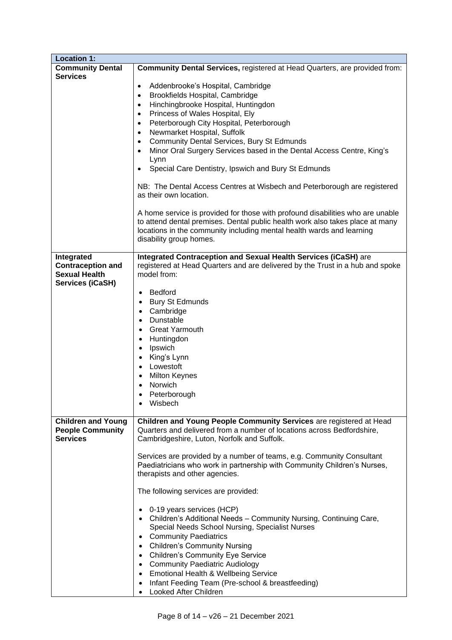| <b>Location 1:</b>                                                                        |                                                                                                                                                                                                                                                                                                                                                                                                                                                                                                                                             |
|-------------------------------------------------------------------------------------------|---------------------------------------------------------------------------------------------------------------------------------------------------------------------------------------------------------------------------------------------------------------------------------------------------------------------------------------------------------------------------------------------------------------------------------------------------------------------------------------------------------------------------------------------|
| <b>Community Dental</b><br><b>Services</b>                                                | Community Dental Services, registered at Head Quarters, are provided from:                                                                                                                                                                                                                                                                                                                                                                                                                                                                  |
|                                                                                           | Addenbrooke's Hospital, Cambridge<br>$\bullet$<br>Brookfields Hospital, Cambridge<br>$\bullet$<br>Hinchingbrooke Hospital, Huntingdon<br>$\bullet$<br>Princess of Wales Hospital, Ely<br>$\bullet$<br>Peterborough City Hospital, Peterborough<br>$\bullet$<br>Newmarket Hospital, Suffolk<br>$\bullet$<br><b>Community Dental Services, Bury St Edmunds</b><br>$\bullet$<br>Minor Oral Surgery Services based in the Dental Access Centre, King's<br>$\bullet$<br>Lynn<br>Special Care Dentistry, Ipswich and Bury St Edmunds<br>$\bullet$ |
|                                                                                           | NB: The Dental Access Centres at Wisbech and Peterborough are registered<br>as their own location.                                                                                                                                                                                                                                                                                                                                                                                                                                          |
|                                                                                           | A home service is provided for those with profound disabilities who are unable<br>to attend dental premises. Dental public health work also takes place at many<br>locations in the community including mental health wards and learning<br>disability group homes.                                                                                                                                                                                                                                                                         |
| Integrated<br><b>Contraception and</b><br><b>Sexual Health</b><br><b>Services (iCaSH)</b> | Integrated Contraception and Sexual Health Services (iCaSH) are<br>registered at Head Quarters and are delivered by the Trust in a hub and spoke<br>model from:<br>Bedford<br>$\bullet$<br><b>Bury St Edmunds</b><br>$\bullet$<br>Cambridge<br>$\bullet$<br>Dunstable<br>$\bullet$<br><b>Great Yarmouth</b><br>$\bullet$<br>Huntingdon<br>$\bullet$<br>Ipswich<br>$\bullet$<br>King's Lynn<br>$\bullet$<br>Lowestoft<br>$\bullet$<br>Milton Keynes                                                                                          |
|                                                                                           | Norwich<br>Peterborough<br>• Wisbech                                                                                                                                                                                                                                                                                                                                                                                                                                                                                                        |
| <b>Children and Young</b><br><b>People Community</b><br><b>Services</b>                   | Children and Young People Community Services are registered at Head<br>Quarters and delivered from a number of locations across Bedfordshire,<br>Cambridgeshire, Luton, Norfolk and Suffolk.<br>Services are provided by a number of teams, e.g. Community Consultant                                                                                                                                                                                                                                                                       |
|                                                                                           | Paediatricians who work in partnership with Community Children's Nurses,<br>therapists and other agencies.                                                                                                                                                                                                                                                                                                                                                                                                                                  |
|                                                                                           | The following services are provided:                                                                                                                                                                                                                                                                                                                                                                                                                                                                                                        |
|                                                                                           | 0-19 years services (HCP)<br>$\bullet$<br>Children's Additional Needs - Community Nursing, Continuing Care,<br>Special Needs School Nursing, Specialist Nurses<br><b>Community Paediatrics</b><br>$\bullet$<br><b>Children's Community Nursing</b><br>$\bullet$<br><b>Children's Community Eye Service</b><br>$\bullet$<br><b>Community Paediatric Audiology</b><br>$\bullet$<br><b>Emotional Health &amp; Wellbeing Service</b><br>$\bullet$<br>Infant Feeding Team (Pre-school & breastfeeding)<br>$\bullet$<br>Looked After Children     |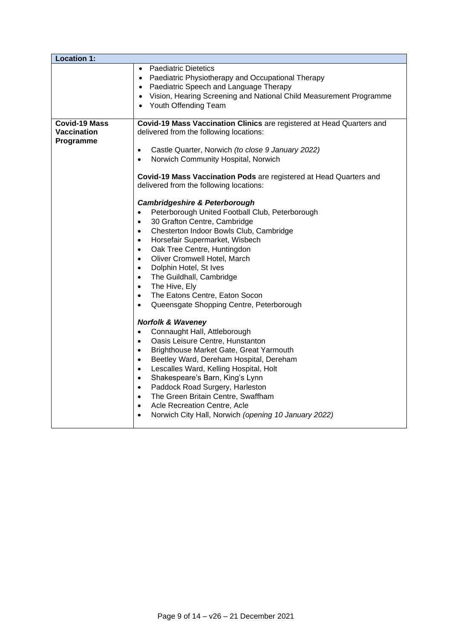| <b>Location 1:</b>                               |                                                                                                                                                                                                                                                                                                                                                                                                                                                                                                                                                                                                                                                                                                                                                                                                                                                                                                                                                                                                                                                                                                                                                                                                                                                                                                                                                                                                                                                                                                                  |
|--------------------------------------------------|------------------------------------------------------------------------------------------------------------------------------------------------------------------------------------------------------------------------------------------------------------------------------------------------------------------------------------------------------------------------------------------------------------------------------------------------------------------------------------------------------------------------------------------------------------------------------------------------------------------------------------------------------------------------------------------------------------------------------------------------------------------------------------------------------------------------------------------------------------------------------------------------------------------------------------------------------------------------------------------------------------------------------------------------------------------------------------------------------------------------------------------------------------------------------------------------------------------------------------------------------------------------------------------------------------------------------------------------------------------------------------------------------------------------------------------------------------------------------------------------------------------|
|                                                  | • Paediatric Dietetics<br>Paediatric Physiotherapy and Occupational Therapy<br>$\bullet$<br>• Paediatric Speech and Language Therapy<br>• Vision, Hearing Screening and National Child Measurement Programme<br>Youth Offending Team<br>$\bullet$                                                                                                                                                                                                                                                                                                                                                                                                                                                                                                                                                                                                                                                                                                                                                                                                                                                                                                                                                                                                                                                                                                                                                                                                                                                                |
| Covid-19 Mass<br><b>Vaccination</b><br>Programme | Covid-19 Mass Vaccination Clinics are registered at Head Quarters and<br>delivered from the following locations:<br>Castle Quarter, Norwich (to close 9 January 2022)<br>$\bullet$<br>Norwich Community Hospital, Norwich<br>$\bullet$<br>Covid-19 Mass Vaccination Pods are registered at Head Quarters and<br>delivered from the following locations:<br><b>Cambridgeshire &amp; Peterborough</b><br>Peterborough United Football Club, Peterborough<br>$\bullet$<br>30 Grafton Centre, Cambridge<br>$\bullet$<br>Chesterton Indoor Bowls Club, Cambridge<br>$\bullet$<br>Horsefair Supermarket, Wisbech<br>$\bullet$<br>Oak Tree Centre, Huntingdon<br>$\bullet$<br>Oliver Cromwell Hotel, March<br>$\bullet$<br>Dolphin Hotel, St Ives<br>$\bullet$<br>The Guildhall, Cambridge<br>$\bullet$<br>The Hive, Ely<br>$\bullet$<br>The Eatons Centre, Eaton Socon<br>$\bullet$<br>Queensgate Shopping Centre, Peterborough<br>$\bullet$<br><b>Norfolk &amp; Waveney</b><br>Connaught Hall, Attleborough<br>$\bullet$<br>Oasis Leisure Centre, Hunstanton<br>$\bullet$<br>Brighthouse Market Gate, Great Yarmouth<br>$\bullet$<br>Beetley Ward, Dereham Hospital, Dereham<br>$\bullet$<br>Lescalles Ward, Kelling Hospital, Holt<br>$\bullet$<br>Shakespeare's Barn, King's Lynn<br>$\bullet$<br>Paddock Road Surgery, Harleston<br>$\bullet$<br>The Green Britain Centre, Swaffham<br>$\bullet$<br>Acle Recreation Centre, Acle<br>$\bullet$<br>Norwich City Hall, Norwich (opening 10 January 2022)<br>$\bullet$ |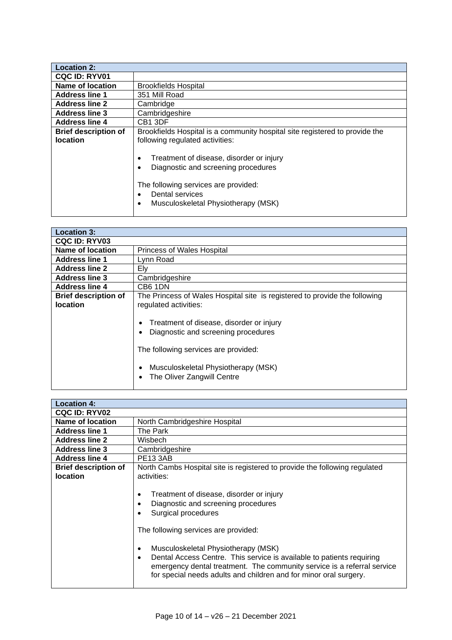| <b>Location 2:</b>          |                                                                                                                                                                                                                                       |
|-----------------------------|---------------------------------------------------------------------------------------------------------------------------------------------------------------------------------------------------------------------------------------|
| <b>CQC ID: RYV01</b>        |                                                                                                                                                                                                                                       |
| Name of location            | <b>Brookfields Hospital</b>                                                                                                                                                                                                           |
| <b>Address line 1</b>       | 351 Mill Road                                                                                                                                                                                                                         |
| <b>Address line 2</b>       | Cambridge                                                                                                                                                                                                                             |
| <b>Address line 3</b>       | Cambridgeshire                                                                                                                                                                                                                        |
| <b>Address line 4</b>       | CB <sub>1</sub> 3DF                                                                                                                                                                                                                   |
| <b>Brief description of</b> | Brookfields Hospital is a community hospital site registered to provide the                                                                                                                                                           |
| <b>location</b>             | following regulated activities:                                                                                                                                                                                                       |
|                             | Treatment of disease, disorder or injury<br>$\bullet$<br>Diagnostic and screening procedures<br>$\bullet$<br>The following services are provided:<br>Dental services<br>$\bullet$<br>Musculoskeletal Physiotherapy (MSK)<br>$\bullet$ |

| <b>Location 3:</b>                             |                                                                                                                                                                                                                                                                                                                       |
|------------------------------------------------|-----------------------------------------------------------------------------------------------------------------------------------------------------------------------------------------------------------------------------------------------------------------------------------------------------------------------|
| <b>CQC ID: RYV03</b>                           |                                                                                                                                                                                                                                                                                                                       |
| <b>Name of location</b>                        | Princess of Wales Hospital                                                                                                                                                                                                                                                                                            |
| <b>Address line 1</b>                          | Lynn Road                                                                                                                                                                                                                                                                                                             |
| <b>Address line 2</b>                          | Elv                                                                                                                                                                                                                                                                                                                   |
| <b>Address line 3</b>                          | Cambridgeshire                                                                                                                                                                                                                                                                                                        |
| <b>Address line 4</b>                          | CB6 1DN                                                                                                                                                                                                                                                                                                               |
| <b>Brief description of</b><br><b>location</b> | The Princess of Wales Hospital site is registered to provide the following<br>regulated activities:<br>Treatment of disease, disorder or injury<br>$\bullet$<br>Diagnostic and screening procedures<br>The following services are provided:<br>Musculoskeletal Physiotherapy (MSK)<br>٠<br>The Oliver Zangwill Centre |

| <b>Location 4:</b>                             |                                                                                                                                                                                                                                                                                                                                                                                                                                                                                                                                                                              |
|------------------------------------------------|------------------------------------------------------------------------------------------------------------------------------------------------------------------------------------------------------------------------------------------------------------------------------------------------------------------------------------------------------------------------------------------------------------------------------------------------------------------------------------------------------------------------------------------------------------------------------|
| <b>CQC ID: RYV02</b>                           |                                                                                                                                                                                                                                                                                                                                                                                                                                                                                                                                                                              |
| <b>Name of location</b>                        | North Cambridgeshire Hospital                                                                                                                                                                                                                                                                                                                                                                                                                                                                                                                                                |
| <b>Address line 1</b>                          | The Park                                                                                                                                                                                                                                                                                                                                                                                                                                                                                                                                                                     |
| <b>Address line 2</b>                          | Wisbech                                                                                                                                                                                                                                                                                                                                                                                                                                                                                                                                                                      |
| <b>Address line 3</b>                          | Cambridgeshire                                                                                                                                                                                                                                                                                                                                                                                                                                                                                                                                                               |
| <b>Address line 4</b>                          | <b>PE13 3AB</b>                                                                                                                                                                                                                                                                                                                                                                                                                                                                                                                                                              |
| <b>Brief description of</b><br><b>location</b> | North Cambs Hospital site is registered to provide the following regulated<br>activities:<br>Treatment of disease, disorder or injury<br>$\bullet$<br>Diagnostic and screening procedures<br>$\bullet$<br>Surgical procedures<br>$\bullet$<br>The following services are provided:<br>Musculoskeletal Physiotherapy (MSK)<br>$\bullet$<br>Dental Access Centre. This service is available to patients requiring<br>$\bullet$<br>emergency dental treatment. The community service is a referral service<br>for special needs adults and children and for minor oral surgery. |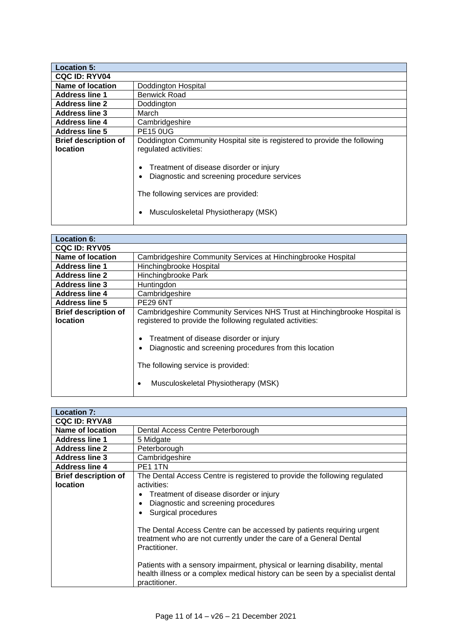| <b>Location 5:</b>                             |                                                                                                                                               |
|------------------------------------------------|-----------------------------------------------------------------------------------------------------------------------------------------------|
| <b>CQC ID: RYV04</b>                           |                                                                                                                                               |
| <b>Name of location</b>                        | Doddington Hospital                                                                                                                           |
| <b>Address line 1</b>                          | <b>Benwick Road</b>                                                                                                                           |
| <b>Address line 2</b>                          | Doddington                                                                                                                                    |
| <b>Address line 3</b>                          | March                                                                                                                                         |
| <b>Address line 4</b>                          | Cambridgeshire                                                                                                                                |
| <b>Address line 5</b>                          | <b>PE15 0UG</b>                                                                                                                               |
| <b>Brief description of</b><br><b>location</b> | Doddington Community Hospital site is registered to provide the following<br>regulated activities:<br>Treatment of disease disorder or injury |
|                                                | Diagnostic and screening procedure services<br>The following services are provided:<br>Musculoskeletal Physiotherapy (MSK)                    |

| <b>Location 6:</b>                             |                                                                                                                                                                                                                                                                                                                          |
|------------------------------------------------|--------------------------------------------------------------------------------------------------------------------------------------------------------------------------------------------------------------------------------------------------------------------------------------------------------------------------|
| <b>CQC ID: RYV05</b>                           |                                                                                                                                                                                                                                                                                                                          |
| Name of location                               | Cambridgeshire Community Services at Hinchingbrooke Hospital                                                                                                                                                                                                                                                             |
| <b>Address line 1</b>                          | Hinchingbrooke Hospital                                                                                                                                                                                                                                                                                                  |
| <b>Address line 2</b>                          | Hinchingbrooke Park                                                                                                                                                                                                                                                                                                      |
| <b>Address line 3</b>                          | Huntingdon                                                                                                                                                                                                                                                                                                               |
| <b>Address line 4</b>                          | Cambridgeshire                                                                                                                                                                                                                                                                                                           |
| <b>Address line 5</b>                          | <b>PE29 6NT</b>                                                                                                                                                                                                                                                                                                          |
| <b>Brief description of</b><br><b>location</b> | Cambridgeshire Community Services NHS Trust at Hinchingbrooke Hospital is<br>registered to provide the following regulated activities:<br>Treatment of disease disorder or injury<br>Diagnostic and screening procedures from this location<br>The following service is provided:<br>Musculoskeletal Physiotherapy (MSK) |

| <b>Location 7:</b>                             |                                                                                                                                                                                                                                                                                                                                                                                                                                                                                                                                                     |
|------------------------------------------------|-----------------------------------------------------------------------------------------------------------------------------------------------------------------------------------------------------------------------------------------------------------------------------------------------------------------------------------------------------------------------------------------------------------------------------------------------------------------------------------------------------------------------------------------------------|
| <b>CQC ID: RYVA8</b>                           |                                                                                                                                                                                                                                                                                                                                                                                                                                                                                                                                                     |
| Name of location                               | Dental Access Centre Peterborough                                                                                                                                                                                                                                                                                                                                                                                                                                                                                                                   |
| <b>Address line 1</b>                          | 5 Midgate                                                                                                                                                                                                                                                                                                                                                                                                                                                                                                                                           |
| <b>Address line 2</b>                          | Peterborough                                                                                                                                                                                                                                                                                                                                                                                                                                                                                                                                        |
| <b>Address line 3</b>                          | Cambridgeshire                                                                                                                                                                                                                                                                                                                                                                                                                                                                                                                                      |
| <b>Address line 4</b>                          | PE1 1TN                                                                                                                                                                                                                                                                                                                                                                                                                                                                                                                                             |
| <b>Brief description of</b><br><b>location</b> | The Dental Access Centre is registered to provide the following regulated<br>activities:<br>Treatment of disease disorder or injury<br>Diagnostic and screening procedures<br>Surgical procedures<br>The Dental Access Centre can be accessed by patients requiring urgent<br>treatment who are not currently under the care of a General Dental<br>Practitioner.<br>Patients with a sensory impairment, physical or learning disability, mental<br>health illness or a complex medical history can be seen by a specialist dental<br>practitioner. |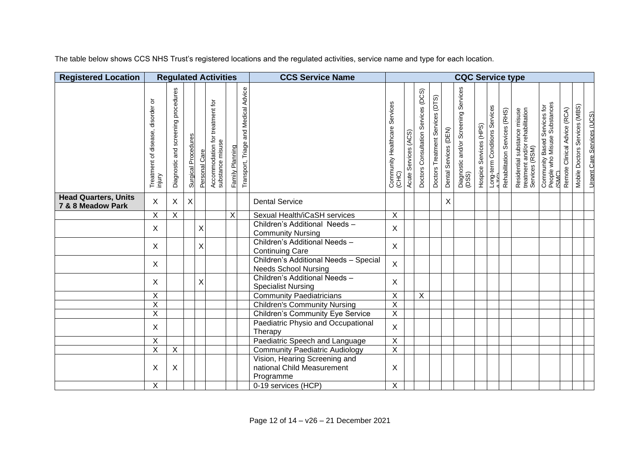The table below shows CCS NHS Trust's registered locations and the regulated activities, service name and type for each location.

| <b>Registered Location</b>                       | <b>Regulated Activities</b>                |                                              |                            |               |                                                     |                 |                                         | <b>CCS Service Name</b>                                                  | <b>CQC Service type</b>                |                            |                                     |                                     |                       |                                               |                        |                               |                               |                                                                                   |                                                                       |                              |                               |                                   |
|--------------------------------------------------|--------------------------------------------|----------------------------------------------|----------------------------|---------------|-----------------------------------------------------|-----------------|-----------------------------------------|--------------------------------------------------------------------------|----------------------------------------|----------------------------|-------------------------------------|-------------------------------------|-----------------------|-----------------------------------------------|------------------------|-------------------------------|-------------------------------|-----------------------------------------------------------------------------------|-----------------------------------------------------------------------|------------------------------|-------------------------------|-----------------------------------|
|                                                  | Treatment of disease, disorder or<br>mjury | procedures<br>screening<br>and<br>Diagnostic | <b>Surgical Procedures</b> | Personal Care | Accommodation for treatment for<br>substance misuse | Family Planning | and Medical Advice<br>Transport, Triage |                                                                          | Community Healthcare Services<br>(CHC) | (ACS)<br>Services<br>Acute | Doctors Consultation Services (DCS) | (DTS)<br>Doctors Treatment Services | Dental Services (DEN) | Diagnostic and/or Screening Services<br>(DSS) | Hospice Services (HPS) | Long-term Conditions Services | Rehabilitation Services (RHS) | Residential substance misuse<br>treatment and/or rehabilitation<br>Services (RSM) | Community Based Services for<br>People who Misuse Substances<br>(SMC) | Remote Clinical Advice (RCA) | Mobile Doctors Services (MBS) | <b>Urgent Care Services (UCS)</b> |
| <b>Head Quarters, Units</b><br>7 & 8 Meadow Park | X                                          | $\boldsymbol{\mathsf{X}}$                    | X                          |               |                                                     |                 |                                         | <b>Dental Service</b>                                                    |                                        |                            |                                     |                                     | X                     |                                               |                        |                               |                               |                                                                                   |                                                                       |                              |                               |                                   |
|                                                  | X                                          | $\mathsf X$                                  |                            |               |                                                     | X               |                                         | Sexual Health/iCaSH services                                             | Χ                                      |                            |                                     |                                     |                       |                                               |                        |                               |                               |                                                                                   |                                                                       |                              |                               |                                   |
|                                                  | $\mathsf{X}$                               |                                              |                            | X             |                                                     |                 |                                         | Children's Additional Needs-<br><b>Community Nursing</b>                 | X                                      |                            |                                     |                                     |                       |                                               |                        |                               |                               |                                                                                   |                                                                       |                              |                               |                                   |
|                                                  | X                                          |                                              |                            | X             |                                                     |                 |                                         | Children's Additional Needs -<br><b>Continuing Care</b>                  | X                                      |                            |                                     |                                     |                       |                                               |                        |                               |                               |                                                                                   |                                                                       |                              |                               |                                   |
|                                                  | X                                          |                                              |                            |               |                                                     |                 |                                         | Children's Additional Needs - Special<br><b>Needs School Nursing</b>     | $\mathsf{X}$                           |                            |                                     |                                     |                       |                                               |                        |                               |                               |                                                                                   |                                                                       |                              |                               |                                   |
|                                                  | $\mathsf{X}$                               |                                              |                            | X             |                                                     |                 |                                         | Children's Additional Needs -<br><b>Specialist Nursing</b>               | X                                      |                            |                                     |                                     |                       |                                               |                        |                               |                               |                                                                                   |                                                                       |                              |                               |                                   |
|                                                  | $\overline{X}$                             |                                              |                            |               |                                                     |                 |                                         | <b>Community Paediatricians</b>                                          | $\overline{X}$                         |                            | $\overline{X}$                      |                                     |                       |                                               |                        |                               |                               |                                                                                   |                                                                       |                              |                               |                                   |
|                                                  | $\overline{\mathsf{X}}$                    |                                              |                            |               |                                                     |                 |                                         | <b>Children's Community Nursing</b>                                      | $\overline{X}$                         |                            |                                     |                                     |                       |                                               |                        |                               |                               |                                                                                   |                                                                       |                              |                               |                                   |
|                                                  | $\overline{\mathsf{x}}$                    |                                              |                            |               |                                                     |                 |                                         | <b>Children's Community Eye Service</b>                                  | $\overline{X}$                         |                            |                                     |                                     |                       |                                               |                        |                               |                               |                                                                                   |                                                                       |                              |                               |                                   |
|                                                  | X                                          |                                              |                            |               |                                                     |                 |                                         | Paediatric Physio and Occupational<br>Therapy                            | X                                      |                            |                                     |                                     |                       |                                               |                        |                               |                               |                                                                                   |                                                                       |                              |                               |                                   |
|                                                  | X                                          |                                              |                            |               |                                                     |                 |                                         | Paediatric Speech and Language                                           | $\overline{X}$                         |                            |                                     |                                     |                       |                                               |                        |                               |                               |                                                                                   |                                                                       |                              |                               |                                   |
|                                                  | X                                          | $\boldsymbol{\mathsf{X}}$                    |                            |               |                                                     |                 |                                         | Community Paediatric Audiology                                           | $\overline{X}$                         |                            |                                     |                                     |                       |                                               |                        |                               |                               |                                                                                   |                                                                       |                              |                               |                                   |
|                                                  | X                                          | $\boldsymbol{\mathsf{X}}$                    |                            |               |                                                     |                 |                                         | Vision, Hearing Screening and<br>national Child Measurement<br>Programme | X                                      |                            |                                     |                                     |                       |                                               |                        |                               |                               |                                                                                   |                                                                       |                              |                               |                                   |
|                                                  | X                                          |                                              |                            |               |                                                     |                 |                                         | 0-19 services (HCP)                                                      | X                                      |                            |                                     |                                     |                       |                                               |                        |                               |                               |                                                                                   |                                                                       |                              |                               |                                   |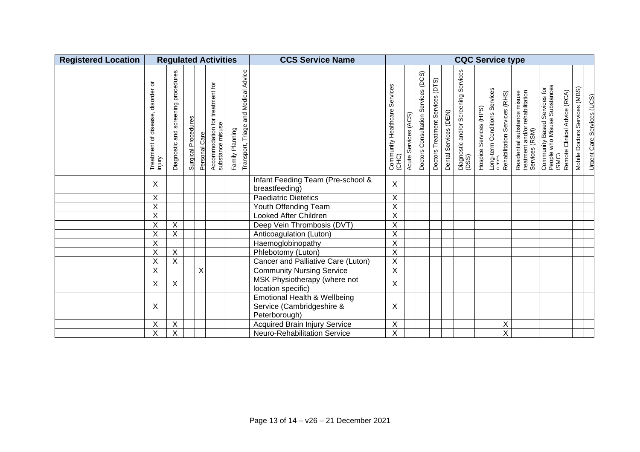| <b>Registered Location</b> | <b>Regulated Activities</b>                |                                              |                     |                         |                                                     |                 |                                            | <b>CCS Service Name</b>                                                               | <b>CQC Service type</b>                   |                            |                                        |                                                     |                       |                                               |                        |                               |                               |                                                                                   |                                                                       |                              |                               |                                   |
|----------------------------|--------------------------------------------|----------------------------------------------|---------------------|-------------------------|-----------------------------------------------------|-----------------|--------------------------------------------|---------------------------------------------------------------------------------------|-------------------------------------------|----------------------------|----------------------------------------|-----------------------------------------------------|-----------------------|-----------------------------------------------|------------------------|-------------------------------|-------------------------------|-----------------------------------------------------------------------------------|-----------------------------------------------------------------------|------------------------------|-------------------------------|-----------------------------------|
|                            | Treatment of disease, disorder or<br>mjury | procedures<br>screening<br>and<br>Diagnostic | Surgical Procedures | Care<br>Personal        | Accommodation for treatment for<br>substance misuse | Family Planning | and Medical Advice<br>Triage<br>Transport, |                                                                                       | Services<br>Community Healthcare<br>(CHC) | (ACS)<br>Services<br>Acute | Services (DCS)<br>Doctors Consultation | (DTS)<br>Treatment Services<br>Doctors <sup>-</sup> | Dental Services (DEN) | Diagnostic and/or Screening Services<br>(DSS) | Hospice Services (HPS) | Long-term Conditions Services | Rehabilitation Services (RHS) | Residential substance misuse<br>treatment and/or rehabilitation<br>Services (RSM) | Community Based Services for<br>People who Misuse Substances<br>(SMC) | Remote Clinical Advice (RCA) | Mobile Doctors Services (MBS) | <b>Urgent Care Services (UCS)</b> |
|                            | X                                          |                                              |                     |                         |                                                     |                 |                                            | Infant Feeding Team (Pre-school &<br>breastfeeding)                                   | X                                         |                            |                                        |                                                     |                       |                                               |                        |                               |                               |                                                                                   |                                                                       |                              |                               |                                   |
|                            | X                                          |                                              |                     |                         |                                                     |                 |                                            | <b>Paediatric Dietetics</b>                                                           | X                                         |                            |                                        |                                                     |                       |                                               |                        |                               |                               |                                                                                   |                                                                       |                              |                               |                                   |
|                            | $\overline{X}$                             |                                              |                     |                         |                                                     |                 |                                            | Youth Offending Team                                                                  | $\overline{\mathsf{x}}$                   |                            |                                        |                                                     |                       |                                               |                        |                               |                               |                                                                                   |                                                                       |                              |                               |                                   |
|                            | $\overline{X}$                             |                                              |                     |                         |                                                     |                 |                                            | Looked After Children                                                                 | X                                         |                            |                                        |                                                     |                       |                                               |                        |                               |                               |                                                                                   |                                                                       |                              |                               |                                   |
|                            | $\overline{\mathsf{x}}$                    | $\overline{\mathsf{x}}$                      |                     |                         |                                                     |                 |                                            | Deep Vein Thrombosis (DVT)                                                            | $\overline{\mathsf{x}}$                   |                            |                                        |                                                     |                       |                                               |                        |                               |                               |                                                                                   |                                                                       |                              |                               |                                   |
|                            | X                                          | $\sf X$                                      |                     |                         |                                                     |                 |                                            | Anticoagulation (Luton)                                                               | X                                         |                            |                                        |                                                     |                       |                                               |                        |                               |                               |                                                                                   |                                                                       |                              |                               |                                   |
|                            | $\overline{\mathsf{x}}$                    |                                              |                     |                         |                                                     |                 |                                            | Haemoglobinopathy                                                                     | $\overline{\mathsf{x}}$                   |                            |                                        |                                                     |                       |                                               |                        |                               |                               |                                                                                   |                                                                       |                              |                               |                                   |
|                            | $\overline{\mathsf{x}}$                    | $\overline{\mathsf{x}}$                      |                     |                         |                                                     |                 |                                            | Phlebotomy (Luton)                                                                    | $\overline{X}$                            |                            |                                        |                                                     |                       |                                               |                        |                               |                               |                                                                                   |                                                                       |                              |                               |                                   |
|                            | X                                          | $\boldsymbol{\mathsf{X}}$                    |                     |                         |                                                     |                 |                                            | Cancer and Palliative Care (Luton)                                                    | $\overline{\mathsf{X}}$                   |                            |                                        |                                                     |                       |                                               |                        |                               |                               |                                                                                   |                                                                       |                              |                               |                                   |
|                            | $\overline{\mathsf{x}}$                    |                                              |                     | $\overline{\mathsf{x}}$ |                                                     |                 |                                            | <b>Community Nursing Service</b>                                                      | $\overline{\mathsf{X}}$                   |                            |                                        |                                                     |                       |                                               |                        |                               |                               |                                                                                   |                                                                       |                              |                               |                                   |
|                            | X                                          | $\times$                                     |                     |                         |                                                     |                 |                                            | MSK Physiotherapy (where not<br>location specific)                                    | X                                         |                            |                                        |                                                     |                       |                                               |                        |                               |                               |                                                                                   |                                                                       |                              |                               |                                   |
|                            | X                                          |                                              |                     |                         |                                                     |                 |                                            | <b>Emotional Health &amp; Wellbeing</b><br>Service (Cambridgeshire &<br>Peterborough) | Χ                                         |                            |                                        |                                                     |                       |                                               |                        |                               |                               |                                                                                   |                                                                       |                              |                               |                                   |
|                            | Χ                                          | $\overline{\mathsf{x}}$                      |                     |                         |                                                     |                 |                                            | <b>Acquired Brain Injury Service</b>                                                  | $\overline{X}$                            |                            |                                        |                                                     |                       |                                               |                        |                               | Χ                             |                                                                                   |                                                                       |                              |                               |                                   |
|                            | $\overline{\mathsf{X}}$                    | $\mathsf X$                                  |                     |                         |                                                     |                 |                                            | Neuro-Rehabilitation Service                                                          | $\overline{\mathsf{X}}$                   |                            |                                        |                                                     |                       |                                               |                        |                               | $\overline{\mathsf{X}}$       |                                                                                   |                                                                       |                              |                               |                                   |